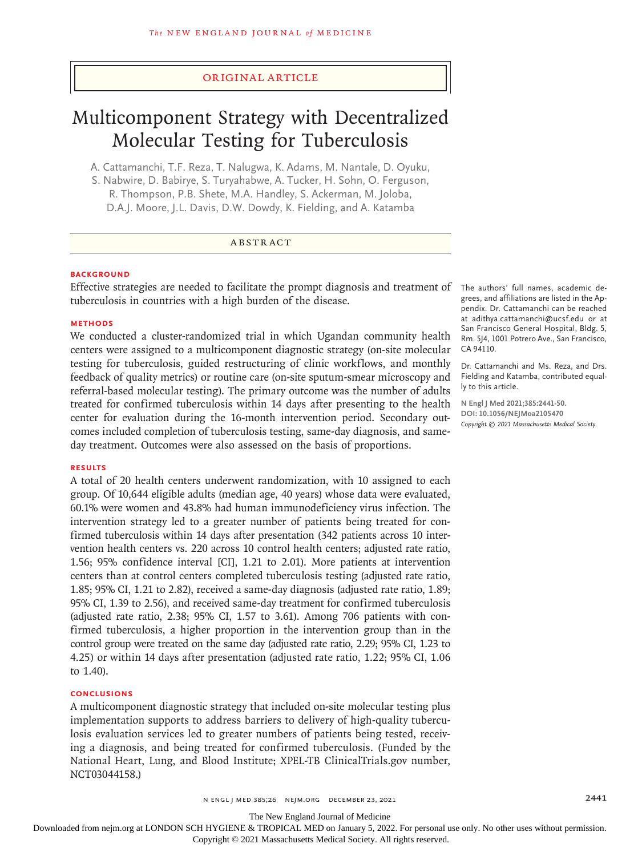### Original Article

# Multicomponent Strategy with Decentralized Molecular Testing for Tuberculosis

A. Cattamanchi, T.F. Reza, T. Nalugwa, K. Adams, M. Nantale, D. Oyuku, S. Nabwire, D. Babirye, S. Turyahabwe, A. Tucker, H. Sohn, O. Ferguson, R. Thompson, P.B. Shete, M.A. Handley, S. Ackerman, M. Joloba, D.A.J. Moore, J.L. Davis, D.W. Dowdy, K. Fielding, and A. Katamba

#### ABSTRACT

#### **BACKGROUND**

Effective strategies are needed to facilitate the prompt diagnosis and treatment of The authors' full names, academic detuberculosis in countries with a high burden of the disease.

#### **METHODS**

We conducted a cluster-randomized trial in which Ugandan community health centers were assigned to a multicomponent diagnostic strategy (on-site molecular testing for tuberculosis, guided restructuring of clinic workflows, and monthly feedback of quality metrics) or routine care (on-site sputum-smear microscopy and referral-based molecular testing). The primary outcome was the number of adults treated for confirmed tuberculosis within 14 days after presenting to the health center for evaluation during the 16-month intervention period. Secondary outcomes included completion of tuberculosis testing, same-day diagnosis, and sameday treatment. Outcomes were also assessed on the basis of proportions.

#### **RESULTS**

A total of 20 health centers underwent randomization, with 10 assigned to each group. Of 10,644 eligible adults (median age, 40 years) whose data were evaluated, 60.1% were women and 43.8% had human immunodeficiency virus infection. The intervention strategy led to a greater number of patients being treated for confirmed tuberculosis within 14 days after presentation (342 patients across 10 intervention health centers vs. 220 across 10 control health centers; adjusted rate ratio, 1.56; 95% confidence interval [CI], 1.21 to 2.01). More patients at intervention centers than at control centers completed tuberculosis testing (adjusted rate ratio, 1.85; 95% CI, 1.21 to 2.82), received a same-day diagnosis (adjusted rate ratio, 1.89; 95% CI, 1.39 to 2.56), and received same-day treatment for confirmed tuberculosis (adjusted rate ratio, 2.38; 95% CI, 1.57 to 3.61). Among 706 patients with confirmed tuberculosis, a higher proportion in the intervention group than in the control group were treated on the same day (adjusted rate ratio, 2.29; 95% CI, 1.23 to 4.25) or within 14 days after presentation (adjusted rate ratio, 1.22; 95% CI, 1.06 to 1.40).

# **CONCLUSIONS**

A multicomponent diagnostic strategy that included on-site molecular testing plus implementation supports to address barriers to delivery of high-quality tuberculosis evaluation services led to greater numbers of patients being tested, receiving a diagnosis, and being treated for confirmed tuberculosis. (Funded by the National Heart, Lung, and Blood Institute; XPEL-TB ClinicalTrials.gov number, NCT03044158.)

grees, and affiliations are listed in the Appendix. Dr. Cattamanchi can be reached at adithya.cattamanchi@ucsf.edu or at San Francisco General Hospital, Bldg. 5, Rm. 5J4, 1001 Potrero Ave., San Francisco, CA 94110.

Dr. Cattamanchi and Ms. Reza, and Drs. Fielding and Katamba, contributed equally to this article.

**N Engl J Med 2021;385:2441-50. DOI: 10.1056/NEJMoa2105470** *Copyright © 2021 Massachusetts Medical Society.*

The New England Journal of Medicine

Downloaded from nejm.org at LONDON SCH HYGIENE & TROPICAL MED on January 5, 2022. For personal use only. No other uses without permission.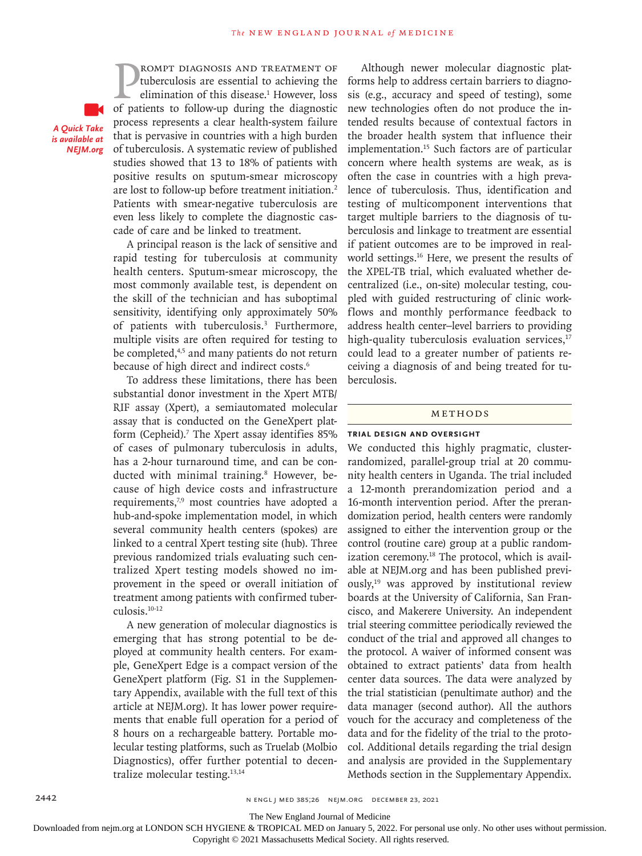**PROMPT DIAGNOSIS AND TREATMENT OF** tuberculosis are essential to achieving the elimination of this disease.<sup>1</sup> However, loss of patients to follow-up during the diagnostic tuberculosis are essential to achieving the elimination of this disease.<sup>1</sup> However, loss process represents a clear health-system failure that is pervasive in countries with a high burden of tuberculosis. A systematic review of published studies showed that 13 to 18% of patients with positive results on sputum-smear microscopy are lost to follow-up before treatment initiation.2 Patients with smear-negative tuberculosis are even less likely to complete the diagnostic cascade of care and be linked to treatment. *A Quick Take is available at NEJM.org*

rompt diagnosis and treatment of

A principal reason is the lack of sensitive and rapid testing for tuberculosis at community health centers. Sputum-smear microscopy, the most commonly available test, is dependent on the skill of the technician and has suboptimal sensitivity, identifying only approximately 50% of patients with tuberculosis.<sup>3</sup> Furthermore, multiple visits are often required for testing to be completed,<sup>4,5</sup> and many patients do not return because of high direct and indirect costs.<sup>6</sup>

To address these limitations, there has been substantial donor investment in the Xpert MTB/ RIF assay (Xpert), a semiautomated molecular assay that is conducted on the GeneXpert platform (Cepheid).<sup>7</sup> The Xpert assay identifies 85% of cases of pulmonary tuberculosis in adults, has a 2-hour turnaround time, and can be conducted with minimal training.<sup>8</sup> However, because of high device costs and infrastructure requirements,<sup>7,9</sup> most countries have adopted a hub-and-spoke implementation model, in which several community health centers (spokes) are linked to a central Xpert testing site (hub). Three previous randomized trials evaluating such centralized Xpert testing models showed no improvement in the speed or overall initiation of treatment among patients with confirmed tuberculosis.10-12

A new generation of molecular diagnostics is emerging that has strong potential to be deployed at community health centers. For example, GeneXpert Edge is a compact version of the GeneXpert platform (Fig. S1 in the Supplementary Appendix, available with the full text of this article at NEJM.org). It has lower power requirements that enable full operation for a period of 8 hours on a rechargeable battery. Portable molecular testing platforms, such as Truelab (Molbio Diagnostics), offer further potential to decentralize molecular testing.13,14

Although newer molecular diagnostic platforms help to address certain barriers to diagnosis (e.g., accuracy and speed of testing), some new technologies often do not produce the intended results because of contextual factors in the broader health system that influence their implementation.15 Such factors are of particular concern where health systems are weak, as is often the case in countries with a high prevalence of tuberculosis. Thus, identification and testing of multicomponent interventions that target multiple barriers to the diagnosis of tuberculosis and linkage to treatment are essential if patient outcomes are to be improved in realworld settings.<sup>16</sup> Here, we present the results of the XPEL-TB trial, which evaluated whether decentralized (i.e., on-site) molecular testing, coupled with guided restructuring of clinic workflows and monthly performance feedback to address health center–level barriers to providing high-quality tuberculosis evaluation services, $17$ could lead to a greater number of patients receiving a diagnosis of and being treated for tuberculosis.

# Methods

#### **Trial Design and Oversight**

We conducted this highly pragmatic, clusterrandomized, parallel-group trial at 20 community health centers in Uganda. The trial included a 12-month prerandomization period and a 16-month intervention period. After the prerandomization period, health centers were randomly assigned to either the intervention group or the control (routine care) group at a public randomization ceremony.<sup>18</sup> The protocol, which is available at NEJM.org and has been published previously, $19$  was approved by institutional review boards at the University of California, San Francisco, and Makerere University. An independent trial steering committee periodically reviewed the conduct of the trial and approved all changes to the protocol. A waiver of informed consent was obtained to extract patients' data from health center data sources. The data were analyzed by the trial statistician (penultimate author) and the data manager (second author). All the authors vouch for the accuracy and completeness of the data and for the fidelity of the trial to the protocol. Additional details regarding the trial design and analysis are provided in the Supplementary Methods section in the Supplementary Appendix.

2442 n engl j med 385;26 nejm.org December 23, 2021

The New England Journal of Medicine

Downloaded from nejm.org at LONDON SCH HYGIENE & TROPICAL MED on January 5, 2022. For personal use only. No other uses without permission.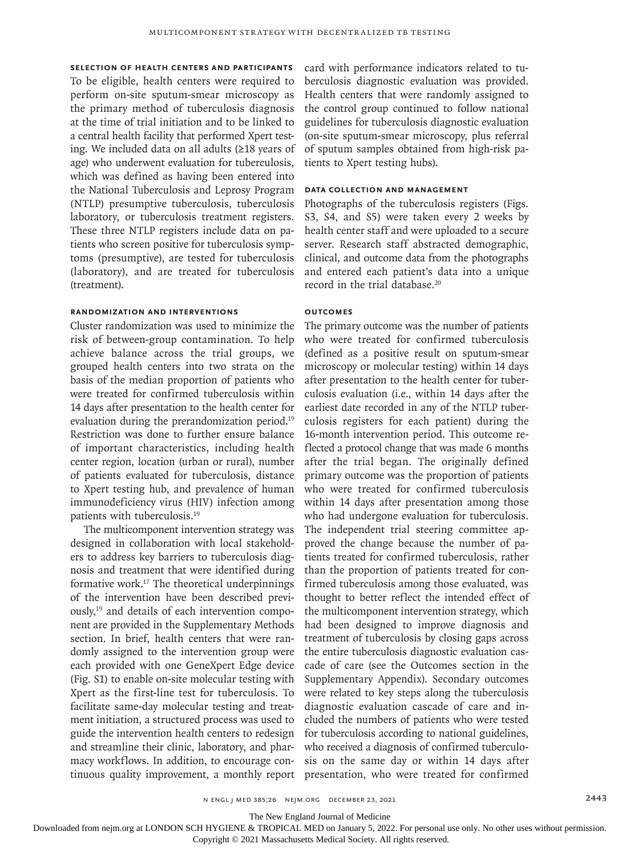**Selection of Health Centers and Participants** To be eligible, health centers were required to perform on-site sputum-smear microscopy as the primary method of tuberculosis diagnosis at the time of trial initiation and to be linked to a central health facility that performed Xpert testing. We included data on all adults (≥18 years of age) who underwent evaluation for tuberculosis, which was defined as having been entered into the National Tuberculosis and Leprosy Program (NTLP) presumptive tuberculosis, tuberculosis laboratory, or tuberculosis treatment registers. These three NTLP registers include data on patients who screen positive for tuberculosis symptoms (presumptive), are tested for tuberculosis (laboratory), and are treated for tuberculosis (treatment).

#### **Randomization and Interventions**

Cluster randomization was used to minimize the risk of between-group contamination. To help achieve balance across the trial groups, we grouped health centers into two strata on the basis of the median proportion of patients who were treated for confirmed tuberculosis within 14 days after presentation to the health center for evaluation during the prerandomization period.19 Restriction was done to further ensure balance of important characteristics, including health center region, location (urban or rural), number of patients evaluated for tuberculosis, distance to Xpert testing hub, and prevalence of human immunodeficiency virus (HIV) infection among patients with tuberculosis.19

The multicomponent intervention strategy was designed in collaboration with local stakeholders to address key barriers to tuberculosis diagnosis and treatment that were identified during formative work.17 The theoretical underpinnings of the intervention have been described previ- $\text{ously,}^{19}$  and details of each intervention component are provided in the Supplementary Methods section. In brief, health centers that were randomly assigned to the intervention group were each provided with one GeneXpert Edge device (Fig. S1) to enable on-site molecular testing with Xpert as the first-line test for tuberculosis. To facilitate same-day molecular testing and treatment initiation, a structured process was used to guide the intervention health centers to redesign and streamline their clinic, laboratory, and pharmacy workflows. In addition, to encourage continuous quality improvement, a monthly report

card with performance indicators related to tuberculosis diagnostic evaluation was provided. Health centers that were randomly assigned to the control group continued to follow national guidelines for tuberculosis diagnostic evaluation (on-site sputum-smear microscopy, plus referral of sputum samples obtained from high-risk patients to Xpert testing hubs).

#### **Data Collection and Management**

Photographs of the tuberculosis registers (Figs. S3, S4, and S5) were taken every 2 weeks by health center staff and were uploaded to a secure server. Research staff abstracted demographic, clinical, and outcome data from the photographs and entered each patient's data into a unique record in the trial database.<sup>20</sup>

# **Outcomes**

The primary outcome was the number of patients who were treated for confirmed tuberculosis (defined as a positive result on sputum-smear microscopy or molecular testing) within 14 days after presentation to the health center for tuberculosis evaluation (i.e., within 14 days after the earliest date recorded in any of the NTLP tuberculosis registers for each patient) during the 16-month intervention period. This outcome reflected a protocol change that was made 6 months after the trial began. The originally defined primary outcome was the proportion of patients who were treated for confirmed tuberculosis within 14 days after presentation among those who had undergone evaluation for tuberculosis. The independent trial steering committee approved the change because the number of patients treated for confirmed tuberculosis, rather than the proportion of patients treated for confirmed tuberculosis among those evaluated, was thought to better reflect the intended effect of the multicomponent intervention strategy, which had been designed to improve diagnosis and treatment of tuberculosis by closing gaps across the entire tuberculosis diagnostic evaluation cascade of care (see the Outcomes section in the Supplementary Appendix). Secondary outcomes were related to key steps along the tuberculosis diagnostic evaluation cascade of care and included the numbers of patients who were tested for tuberculosis according to national guidelines, who received a diagnosis of confirmed tuberculosis on the same day or within 14 days after presentation, who were treated for confirmed

The New England Journal of Medicine

Downloaded from nejm.org at LONDON SCH HYGIENE & TROPICAL MED on January 5, 2022. For personal use only. No other uses without permission.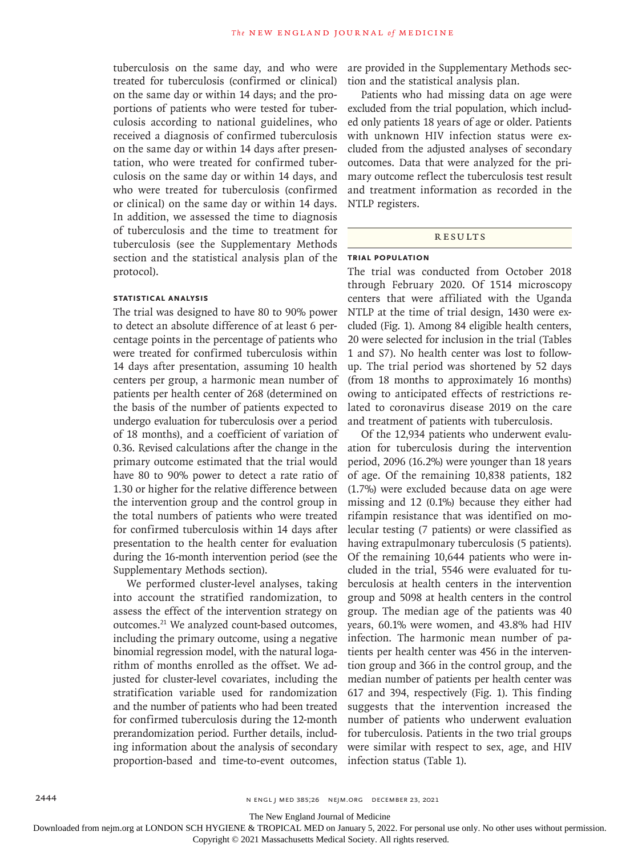tuberculosis on the same day, and who were treated for tuberculosis (confirmed or clinical) on the same day or within 14 days; and the proportions of patients who were tested for tuberculosis according to national guidelines, who received a diagnosis of confirmed tuberculosis on the same day or within 14 days after presentation, who were treated for confirmed tuberculosis on the same day or within 14 days, and who were treated for tuberculosis (confirmed or clinical) on the same day or within 14 days. In addition, we assessed the time to diagnosis of tuberculosis and the time to treatment for tuberculosis (see the Supplementary Methods section and the statistical analysis plan of the protocol).

# **Statistical Analysis**

The trial was designed to have 80 to 90% power to detect an absolute difference of at least 6 percentage points in the percentage of patients who were treated for confirmed tuberculosis within 14 days after presentation, assuming 10 health centers per group, a harmonic mean number of patients per health center of 268 (determined on the basis of the number of patients expected to undergo evaluation for tuberculosis over a period of 18 months), and a coefficient of variation of 0.36. Revised calculations after the change in the primary outcome estimated that the trial would have 80 to 90% power to detect a rate ratio of 1.30 or higher for the relative difference between the intervention group and the control group in the total numbers of patients who were treated for confirmed tuberculosis within 14 days after presentation to the health center for evaluation during the 16-month intervention period (see the Supplementary Methods section).

We performed cluster-level analyses, taking into account the stratified randomization, to assess the effect of the intervention strategy on outcomes.21 We analyzed count-based outcomes, including the primary outcome, using a negative binomial regression model, with the natural logarithm of months enrolled as the offset. We adjusted for cluster-level covariates, including the stratification variable used for randomization and the number of patients who had been treated for confirmed tuberculosis during the 12-month prerandomization period. Further details, including information about the analysis of secondary proportion-based and time-to-event outcomes, are provided in the Supplementary Methods section and the statistical analysis plan.

Patients who had missing data on age were excluded from the trial population, which included only patients 18 years of age or older. Patients with unknown HIV infection status were excluded from the adjusted analyses of secondary outcomes. Data that were analyzed for the primary outcome reflect the tuberculosis test result and treatment information as recorded in the NTLP registers.

# **RESULTS**

# **Trial Population**

The trial was conducted from October 2018 through February 2020. Of 1514 microscopy centers that were affiliated with the Uganda NTLP at the time of trial design, 1430 were excluded (Fig. 1). Among 84 eligible health centers, 20 were selected for inclusion in the trial (Tables 1 and S7). No health center was lost to followup. The trial period was shortened by 52 days (from 18 months to approximately 16 months) owing to anticipated effects of restrictions related to coronavirus disease 2019 on the care and treatment of patients with tuberculosis.

Of the 12,934 patients who underwent evaluation for tuberculosis during the intervention period, 2096 (16.2%) were younger than 18 years of age. Of the remaining 10,838 patients, 182 (1.7%) were excluded because data on age were missing and 12 (0.1%) because they either had rifampin resistance that was identified on molecular testing (7 patients) or were classified as having extrapulmonary tuberculosis (5 patients). Of the remaining 10,644 patients who were included in the trial, 5546 were evaluated for tuberculosis at health centers in the intervention group and 5098 at health centers in the control group. The median age of the patients was 40 years, 60.1% were women, and 43.8% had HIV infection. The harmonic mean number of patients per health center was 456 in the intervention group and 366 in the control group, and the median number of patients per health center was 617 and 394, respectively (Fig. 1). This finding suggests that the intervention increased the number of patients who underwent evaluation for tuberculosis. Patients in the two trial groups were similar with respect to sex, age, and HIV infection status (Table 1).

The New England Journal of Medicine

Downloaded from nejm.org at LONDON SCH HYGIENE & TROPICAL MED on January 5, 2022. For personal use only. No other uses without permission.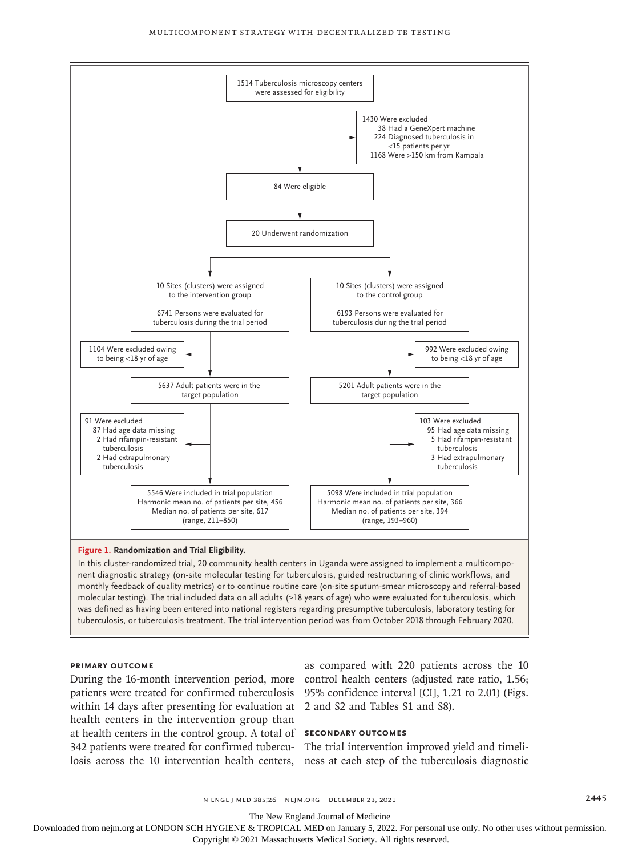#### Multicomponent Strategy with Decentralized TB Testing



In this cluster-randomized trial, 20 community health centers in Uganda were assigned to implement a multicomponent diagnostic strategy (on-site molecular testing for tuberculosis, guided restructuring of clinic workflows, and monthly feedback of quality metrics) or to continue routine care (on-site sputum-smear microscopy and referral-based molecular testing). The trial included data on all adults (≥18 years of age) who were evaluated for tuberculosis, which was defined as having been entered into national registers regarding presumptive tuberculosis, laboratory testing for tuberculosis, or tuberculosis treatment. The trial intervention period was from October 2018 through February 2020.

#### **Primary Outcome**

within 14 days after presenting for evaluation at 2 and S2 and Tables S1 and S8). health centers in the intervention group than at health centers in the control group. A total of **Secondary Outcomes** 342 patients were treated for confirmed tubercu-The trial intervention improved yield and timeli-

During the 16-month intervention period, more control health centers (adjusted rate ratio, 1.56; patients were treated for confirmed tuberculosis 95% confidence interval [CI], 1.21 to 2.01) (Figs. as compared with 220 patients across the 10

losis across the 10 intervention health centers, ness at each step of the tuberculosis diagnostic

n engl j med 385;26 nejm.org December 23, 2021 2445

The New England Journal of Medicine

Downloaded from nejm.org at LONDON SCH HYGIENE & TROPICAL MED on January 5, 2022. For personal use only. No other uses without permission.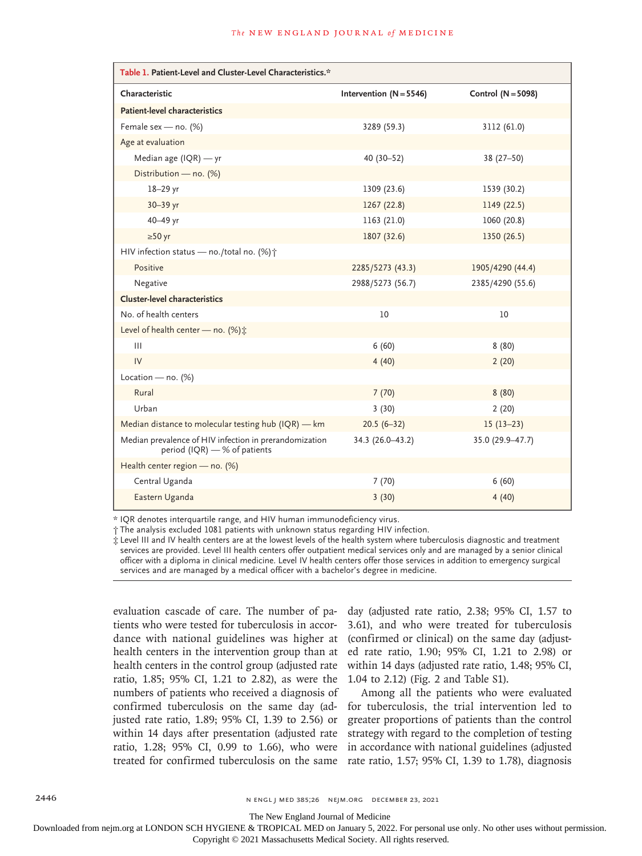| Table 1. Patient-Level and Cluster-Level Characteristics.*                             |                           |                    |  |  |  |
|----------------------------------------------------------------------------------------|---------------------------|--------------------|--|--|--|
| Characteristic                                                                         | Intervention $(N = 5546)$ | Control (N = 5098) |  |  |  |
| Patient-level characteristics                                                          |                           |                    |  |  |  |
| Female sex - no. (%)                                                                   | 3289 (59.3)               | 3112 (61.0)        |  |  |  |
| Age at evaluation                                                                      |                           |                    |  |  |  |
| Median age $( IQR)$ - yr                                                               | 40 (30-52)                | $38(27 - 50)$      |  |  |  |
| Distribution - no. (%)                                                                 |                           |                    |  |  |  |
| $18 - 29$ yr                                                                           | 1309 (23.6)               | 1539 (30.2)        |  |  |  |
| 30-39 yr                                                                               | 1267(22.8)                | 1149 (22.5)        |  |  |  |
| 40-49 yr                                                                               | 1163 (21.0)               | 1060 (20.8)        |  |  |  |
| $\geq 50$ yr                                                                           | 1807 (32.6)               | 1350 (26.5)        |  |  |  |
| HIV infection status - no./total no. (%) ;                                             |                           |                    |  |  |  |
| Positive                                                                               | 2285/5273 (43.3)          | 1905/4290 (44.4)   |  |  |  |
| Negative                                                                               | 2988/5273 (56.7)          | 2385/4290 (55.6)   |  |  |  |
| <b>Cluster-level characteristics</b>                                                   |                           |                    |  |  |  |
| No. of health centers                                                                  | 10                        | 10                 |  |  |  |
| Level of health center - no. (%) :                                                     |                           |                    |  |  |  |
| $\mathbf{III}$                                                                         | 6(60)                     | 8(80)              |  |  |  |
| IV                                                                                     | 4(40)                     | 2(20)              |  |  |  |
| Location - no. $(%)$                                                                   |                           |                    |  |  |  |
| Rural                                                                                  | 7(70)                     | 8(80)              |  |  |  |
| Urban                                                                                  | 3(30)                     | 2(20)              |  |  |  |
| Median distance to molecular testing hub (IQR) - km                                    | $20.5(6-32)$              | $15(13-23)$        |  |  |  |
| Median prevalence of HIV infection in prerandomization<br>period (IQR) — % of patients | 34.3 (26.0-43.2)          | 35.0 (29.9-47.7)   |  |  |  |
| Health center region - no. (%)                                                         |                           |                    |  |  |  |
| Central Uganda                                                                         | 7(70)                     | 6(60)              |  |  |  |
| Eastern Uganda                                                                         | 3(30)                     | 4(40)              |  |  |  |

\* IQR denotes interquartile range, and HIV human immunodeficiency virus.

† The analysis excluded 1081 patients with unknown status regarding HIV infection.

‡ Level III and IV health centers are at the lowest levels of the health system where tuberculosis diagnostic and treatment services are provided. Level III health centers offer outpatient medical services only and are managed by a senior clinical officer with a diploma in clinical medicine. Level IV health centers offer those services in addition to emergency surgical services and are managed by a medical officer with a bachelor's degree in medicine.

evaluation cascade of care. The number of patients who were tested for tuberculosis in accordance with national guidelines was higher at health centers in the intervention group than at health centers in the control group (adjusted rate ratio, 1.85; 95% CI, 1.21 to 2.82), as were the numbers of patients who received a diagnosis of confirmed tuberculosis on the same day (adjusted rate ratio, 1.89; 95% CI, 1.39 to 2.56) or within 14 days after presentation (adjusted rate ratio, 1.28; 95% CI, 0.99 to 1.66), who were

day (adjusted rate ratio, 2.38; 95% CI, 1.57 to 3.61), and who were treated for tuberculosis (confirmed or clinical) on the same day (adjusted rate ratio, 1.90; 95% CI, 1.21 to 2.98) or within 14 days (adjusted rate ratio, 1.48; 95% CI, 1.04 to 2.12) (Fig. 2 and Table S1).

treated for confirmed tuberculosis on the same rate ratio, 1.57; 95% CI, 1.39 to 1.78), diagnosis Among all the patients who were evaluated for tuberculosis, the trial intervention led to greater proportions of patients than the control strategy with regard to the completion of testing in accordance with national guidelines (adjusted

The New England Journal of Medicine

Downloaded from nejm.org at LONDON SCH HYGIENE & TROPICAL MED on January 5, 2022. For personal use only. No other uses without permission.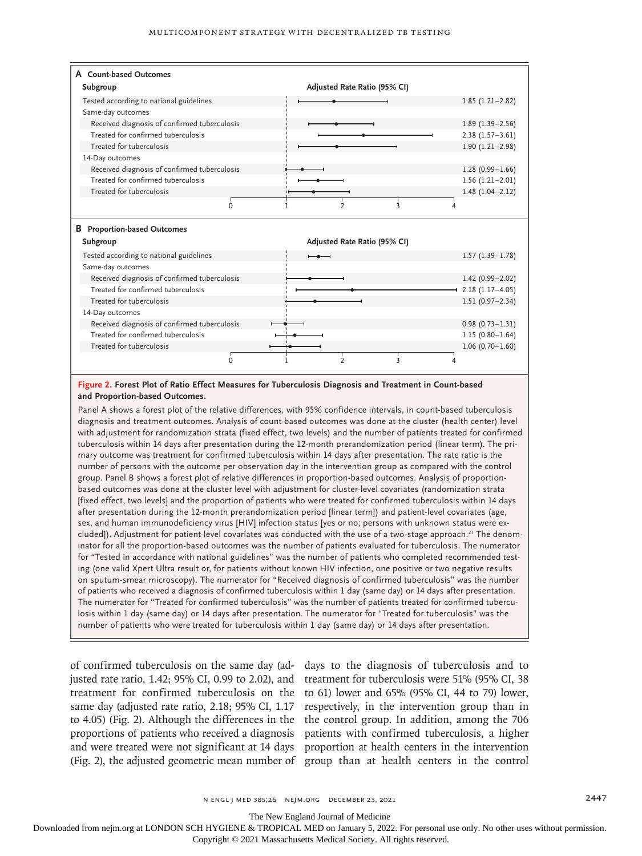| A Count-based Outcomes                       |                                           |                     |
|----------------------------------------------|-------------------------------------------|---------------------|
| Subgroup                                     | Adjusted Rate Ratio (95% CI)              |                     |
| Tested according to national guidelines      |                                           | $1.85(1.21-2.82)$   |
| Same-day outcomes                            |                                           |                     |
| Received diagnosis of confirmed tuberculosis |                                           | $1.89(1.39 - 2.56)$ |
| Treated for confirmed tuberculosis           |                                           | $2.38(1.57-3.61)$   |
| Treated for tuberculosis                     |                                           | $1.90(1.21 - 2.98)$ |
| 14-Day outcomes                              |                                           |                     |
| Received diagnosis of confirmed tuberculosis |                                           | $1.28(0.99 - 1.66)$ |
| Treated for confirmed tuberculosis           |                                           | $1.56(1.21-2.01)$   |
| Treated for tuberculosis                     |                                           | $1.48(1.04 - 2.12)$ |
| $\Omega$                                     | $\overline{2}$<br>$\overline{\mathbf{3}}$ |                     |
|                                              |                                           |                     |
| <b>B</b> Proportion-based Outcomes           |                                           |                     |
| Subgroup                                     | Adjusted Rate Ratio (95% CI)              |                     |
| Tested according to national guidelines      |                                           | $1.57(1.39-1.78)$   |
| Same-day outcomes                            |                                           |                     |
| Received diagnosis of confirmed tuberculosis |                                           | $1.42(0.99 - 2.02)$ |
| Treated for confirmed tuberculosis           |                                           | $2.18(1.17 - 4.05)$ |
| Treated for tuberculosis                     |                                           | $1.51(0.97 - 2.34)$ |
| 14-Day outcomes                              |                                           |                     |
| Received diagnosis of confirmed tuberculosis |                                           | $0.98(0.73 - 1.31)$ |
| Treated for confirmed tuberculosis           |                                           | $1.15(0.80 - 1.64)$ |
| Treated for tuberculosis                     |                                           |                     |
|                                              |                                           | $1.06(0.70 - 1.60)$ |
| $\Omega$                                     | $\mathfrak{p}$<br>3                       |                     |

#### **Figure 2. Forest Plot of Ratio Effect Measures for Tuberculosis Diagnosis and Treatment in Count-based and Proportion-based Outcomes.**

Panel A shows a forest plot of the relative differences, with 95% confidence intervals, in count-based tuberculosis diagnosis and treatment outcomes. Analysis of count-based outcomes was done at the cluster (health center) level with adjustment for randomization strata (fixed effect, two levels) and the number of patients treated for confirmed tuberculosis within 14 days after presentation during the 12-month prerandomization period (linear term). The primary outcome was treatment for confirmed tuberculosis within 14 days after presentation. The rate ratio is the number of persons with the outcome per observation day in the intervention group as compared with the control group. Panel B shows a forest plot of relative differences in proportion-based outcomes. Analysis of proportionbased outcomes was done at the cluster level with adjustment for cluster-level covariates (randomization strata [fixed effect, two levels] and the proportion of patients who were treated for confirmed tuberculosis within 14 days after presentation during the 12-month prerandomization period [linear term]) and patient-level covariates (age, sex, and human immunodeficiency virus [HIV] infection status [yes or no; persons with unknown status were excluded]). Adjustment for patient-level covariates was conducted with the use of a two-stage approach.<sup>21</sup> The denominator for all the proportion-based outcomes was the number of patients evaluated for tuberculosis. The numerator for "Tested in accordance with national guidelines" was the number of patients who completed recommended testing (one valid Xpert Ultra result or, for patients without known HIV infection, one positive or two negative results on sputum-smear microscopy). The numerator for "Received diagnosis of confirmed tuberculosis" was the number of patients who received a diagnosis of confirmed tuberculosis within 1 day (same day) or 14 days after presentation. The numerator for "Treated for confirmed tuberculosis" was the number of patients treated for confirmed tuberculosis within 1 day (same day) or 14 days after presentation. The numerator for "Treated for tuberculosis" was the number of patients who were treated for tuberculosis within 1 day (same day) or 14 days after presentation.

of confirmed tuberculosis on the same day (ad-days to the diagnosis of tuberculosis and to justed rate ratio, 1.42; 95% CI, 0.99 to 2.02), and treatment for tuberculosis were 51% (95% CI, 38 treatment for confirmed tuberculosis on the to 61) lower and 65% (95% CI, 44 to 79) lower, same day (adjusted rate ratio, 2.18; 95% CI, 1.17 respectively, in the intervention group than in to 4.05) (Fig. 2). Although the differences in the the control group. In addition, among the 706 proportions of patients who received a diagnosis patients with confirmed tuberculosis, a higher and were treated were not significant at 14 days proportion at health centers in the intervention (Fig. 2), the adjusted geometric mean number of group than at health centers in the control

The New England Journal of Medicine

Downloaded from nejm.org at LONDON SCH HYGIENE & TROPICAL MED on January 5, 2022. For personal use only. No other uses without permission. Copyright © 2021 Massachusetts Medical Society. All rights reserved.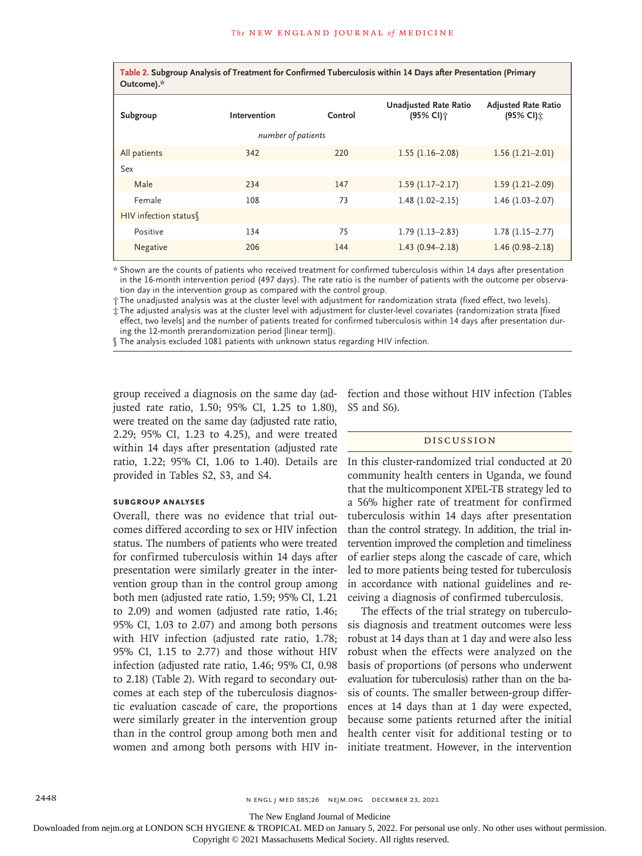**Table 2. Subgroup Analysis of Treatment for Confirmed Tuberculosis within 14 Days after Presentation (Primary Outcome).\***

| Subgroup             | Intervention | Control | <b>Unadjusted Rate Ratio</b><br>(95% CI)个 | <b>Adjusted Rate Ratio</b><br>(95% CI): |  |  |
|----------------------|--------------|---------|-------------------------------------------|-----------------------------------------|--|--|
| number of patients   |              |         |                                           |                                         |  |  |
| All patients         | 342          | 220     | $1.55(1.16-2.08)$                         | $1.56(1.21-2.01)$                       |  |  |
| Sex                  |              |         |                                           |                                         |  |  |
| Male                 | 234          | 147     | $1.59(1.17-2.17)$                         | $1.59(1.21 - 2.09)$                     |  |  |
| Female               | 108          | 73      | $1.48(1.02 - 2.15)$                       | $1.46(1.03 - 2.07)$                     |  |  |
| HIV infection status |              |         |                                           |                                         |  |  |
| Positive             | 134          | 75      | $1.79(1.13 - 2.83)$                       | $1.78(1.15-2.77)$                       |  |  |
| Negative             | 206          | 144     | $1.43(0.94 - 2.18)$                       | $1.46(0.98 - 2.18)$                     |  |  |

\* Shown are the counts of patients who received treatment for confirmed tuberculosis within 14 days after presentation in the 16-month intervention period (497 days). The rate ratio is the number of patients with the outcome per observation day in the intervention group as compared with the control group.

† The unadjusted analysis was at the cluster level with adjustment for randomization strata (fixed effect, two levels).

‡ The adjusted analysis was at the cluster level with adjustment for cluster-level covariates (randomization strata [fixed effect, two levels] and the number of patients treated for confirmed tuberculosis within 14 days after presentation during the 12-month prerandomization period [linear term]).

§ The analysis excluded 1081 patients with unknown status regarding HIV infection.

group received a diagnosis on the same day (adjusted rate ratio, 1.50; 95% CI, 1.25 to 1.80), were treated on the same day (adjusted rate ratio, 2.29; 95% CI, 1.23 to 4.25), and were treated within 14 days after presentation (adjusted rate ratio, 1.22; 95% CI, 1.06 to 1.40). Details are provided in Tables S2, S3, and S4.

#### **Subgroup Analyses**

Overall, there was no evidence that trial outcomes differed according to sex or HIV infection status. The numbers of patients who were treated for confirmed tuberculosis within 14 days after presentation were similarly greater in the intervention group than in the control group among both men (adjusted rate ratio, 1.59; 95% CI, 1.21 to 2.09) and women (adjusted rate ratio, 1.46; 95% CI, 1.03 to 2.07) and among both persons with HIV infection (adjusted rate ratio, 1.78; 95% CI, 1.15 to 2.77) and those without HIV infection (adjusted rate ratio, 1.46; 95% CI, 0.98 to 2.18) (Table 2). With regard to secondary outcomes at each step of the tuberculosis diagnostic evaluation cascade of care, the proportions were similarly greater in the intervention group than in the control group among both men and women and among both persons with HIV infection and those without HIV infection (Tables S5 and S6).

#### Discussion

In this cluster-randomized trial conducted at 20 community health centers in Uganda, we found that the multicomponent XPEL-TB strategy led to a 56% higher rate of treatment for confirmed tuberculosis within 14 days after presentation than the control strategy. In addition, the trial intervention improved the completion and timeliness of earlier steps along the cascade of care, which led to more patients being tested for tuberculosis in accordance with national guidelines and receiving a diagnosis of confirmed tuberculosis.

The effects of the trial strategy on tuberculosis diagnosis and treatment outcomes were less robust at 14 days than at 1 day and were also less robust when the effects were analyzed on the basis of proportions (of persons who underwent evaluation for tuberculosis) rather than on the basis of counts. The smaller between-group differences at 14 days than at 1 day were expected, because some patients returned after the initial health center visit for additional testing or to initiate treatment. However, in the intervention

2448 n engl j med 385;26 nejm.org December 23, 2021

The New England Journal of Medicine

Downloaded from nejm.org at LONDON SCH HYGIENE & TROPICAL MED on January 5, 2022. For personal use only. No other uses without permission.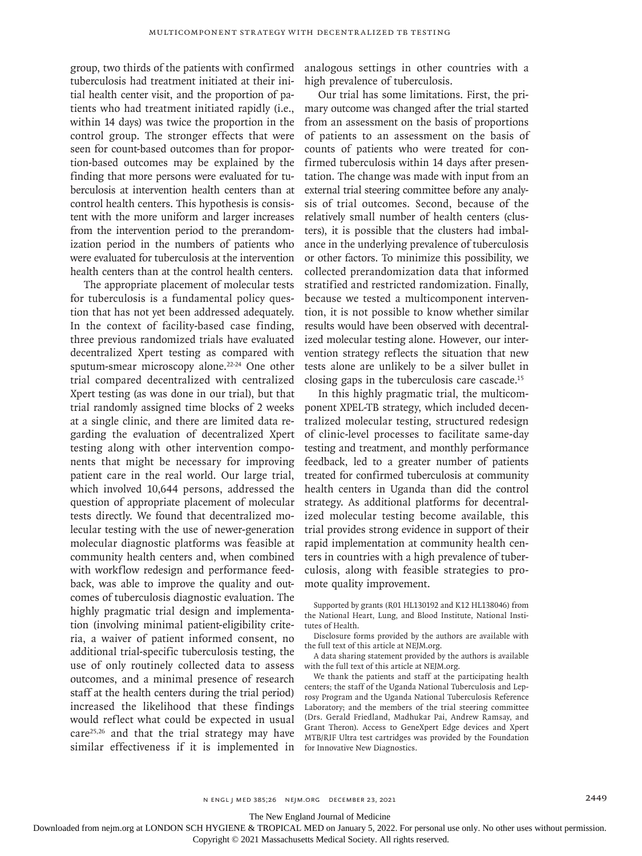group, two thirds of the patients with confirmed tuberculosis had treatment initiated at their initial health center visit, and the proportion of patients who had treatment initiated rapidly (i.e., within 14 days) was twice the proportion in the control group. The stronger effects that were seen for count-based outcomes than for proportion-based outcomes may be explained by the finding that more persons were evaluated for tuberculosis at intervention health centers than at control health centers. This hypothesis is consistent with the more uniform and larger increases from the intervention period to the prerandomization period in the numbers of patients who were evaluated for tuberculosis at the intervention health centers than at the control health centers.

The appropriate placement of molecular tests for tuberculosis is a fundamental policy question that has not yet been addressed adequately. In the context of facility-based case finding, three previous randomized trials have evaluated decentralized Xpert testing as compared with sputum-smear microscopy alone.<sup>22-24</sup> One other trial compared decentralized with centralized Xpert testing (as was done in our trial), but that trial randomly assigned time blocks of 2 weeks at a single clinic, and there are limited data regarding the evaluation of decentralized Xpert testing along with other intervention components that might be necessary for improving patient care in the real world. Our large trial, which involved 10,644 persons, addressed the question of appropriate placement of molecular tests directly. We found that decentralized molecular testing with the use of newer-generation molecular diagnostic platforms was feasible at community health centers and, when combined with workflow redesign and performance feedback, was able to improve the quality and outcomes of tuberculosis diagnostic evaluation. The highly pragmatic trial design and implementation (involving minimal patient-eligibility criteria, a waiver of patient informed consent, no additional trial-specific tuberculosis testing, the use of only routinely collected data to assess outcomes, and a minimal presence of research staff at the health centers during the trial period) increased the likelihood that these findings would reflect what could be expected in usual care $25,26$  and that the trial strategy may have similar effectiveness if it is implemented in

analogous settings in other countries with a high prevalence of tuberculosis.

Our trial has some limitations. First, the primary outcome was changed after the trial started from an assessment on the basis of proportions of patients to an assessment on the basis of counts of patients who were treated for confirmed tuberculosis within 14 days after presentation. The change was made with input from an external trial steering committee before any analysis of trial outcomes. Second, because of the relatively small number of health centers (clusters), it is possible that the clusters had imbalance in the underlying prevalence of tuberculosis or other factors. To minimize this possibility, we collected prerandomization data that informed stratified and restricted randomization. Finally, because we tested a multicomponent intervention, it is not possible to know whether similar results would have been observed with decentralized molecular testing alone. However, our intervention strategy reflects the situation that new tests alone are unlikely to be a silver bullet in closing gaps in the tuberculosis care cascade.15

In this highly pragmatic trial, the multicomponent XPEL-TB strategy, which included decentralized molecular testing, structured redesign of clinic-level processes to facilitate same-day testing and treatment, and monthly performance feedback, led to a greater number of patients treated for confirmed tuberculosis at community health centers in Uganda than did the control strategy. As additional platforms for decentralized molecular testing become available, this trial provides strong evidence in support of their rapid implementation at community health centers in countries with a high prevalence of tuberculosis, along with feasible strategies to promote quality improvement.

Supported by grants (R01 HL130192 and K12 HL138046) from the National Heart, Lung, and Blood Institute, National Institutes of Health.

Disclosure forms provided by the authors are available with the full text of this article at NEJM.org.

A data sharing statement provided by the authors is available with the full text of this article at NEJM.org.

We thank the patients and staff at the participating health centers; the staff of the Uganda National Tuberculosis and Leprosy Program and the Uganda National Tuberculosis Reference Laboratory; and the members of the trial steering committee (Drs. Gerald Friedland, Madhukar Pai, Andrew Ramsay, and Grant Theron). Access to GeneXpert Edge devices and Xpert MTB/RIF Ultra test cartridges was provided by the Foundation for Innovative New Diagnostics.

The New England Journal of Medicine

Downloaded from nejm.org at LONDON SCH HYGIENE & TROPICAL MED on January 5, 2022. For personal use only. No other uses without permission.